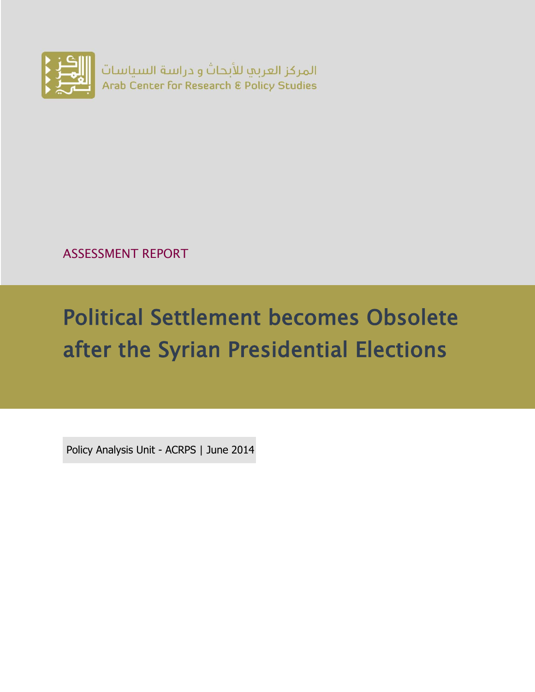

ASSESSMENT REPORT

# Political Settlement becomes Obsolete after the Syrian Presidential Elections

Policy Analysis Unit - ACRPS | June 2014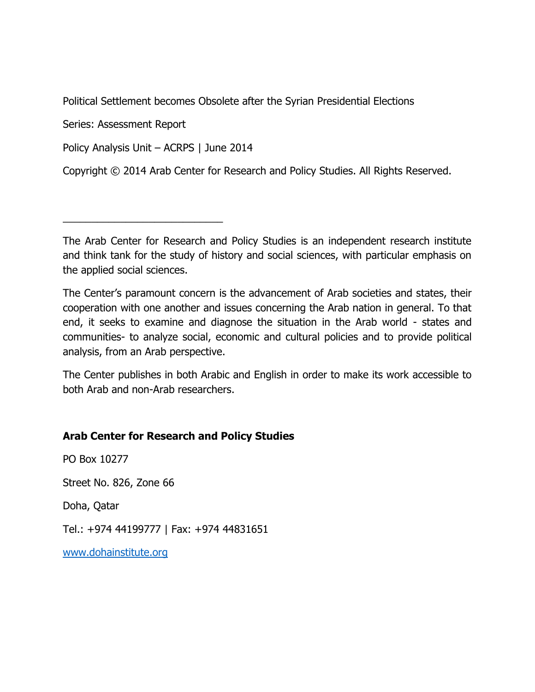Political Settlement becomes Obsolete after the Syrian Presidential Elections

Series: Assessment Report

Policy Analysis Unit – ACRPS | June 2014

\_\_\_\_\_\_\_\_\_\_\_\_\_\_\_\_\_\_\_\_\_\_\_\_\_\_\_\_

Copyright © 2014 Arab Center for Research and Policy Studies. All Rights Reserved.

The Arab Center for Research and Policy Studies is an independent research institute and think tank for the study of history and social sciences, with particular emphasis on the applied social sciences.

The Center's paramount concern is the advancement of Arab societies and states, their cooperation with one another and issues concerning the Arab nation in general. To that end, it seeks to examine and diagnose the situation in the Arab world - states and communities- to analyze social, economic and cultural policies and to provide political analysis, from an Arab perspective.

The Center publishes in both Arabic and English in order to make its work accessible to both Arab and non-Arab researchers.

#### **Arab Center for Research and Policy Studies**

PO Box 10277

Street No. 826, Zone 66

Doha, Qatar

Tel.: +974 44199777 | Fax: +974 44831651

[www.dohainstitute.org](file:///C:/Users/dena.qaddumi/Desktop/www.dohainstitute.org)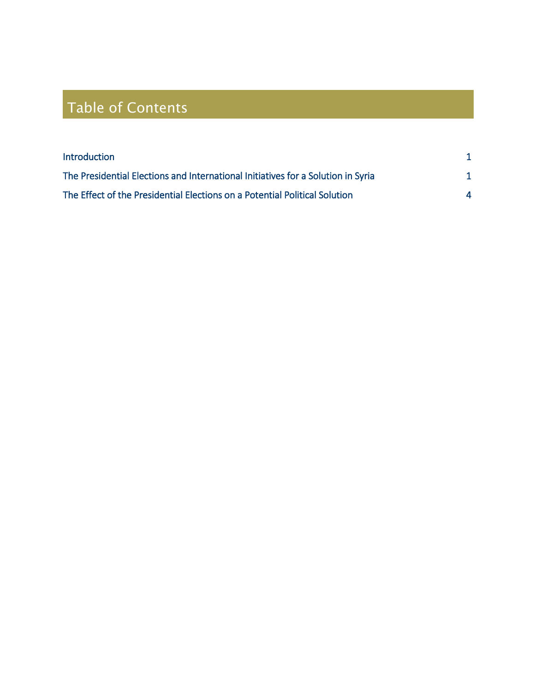# Table of Contents

| <b>Introduction</b>                                                              |  |
|----------------------------------------------------------------------------------|--|
| The Presidential Elections and International Initiatives for a Solution in Syria |  |
| The Effect of the Presidential Elections on a Potential Political Solution       |  |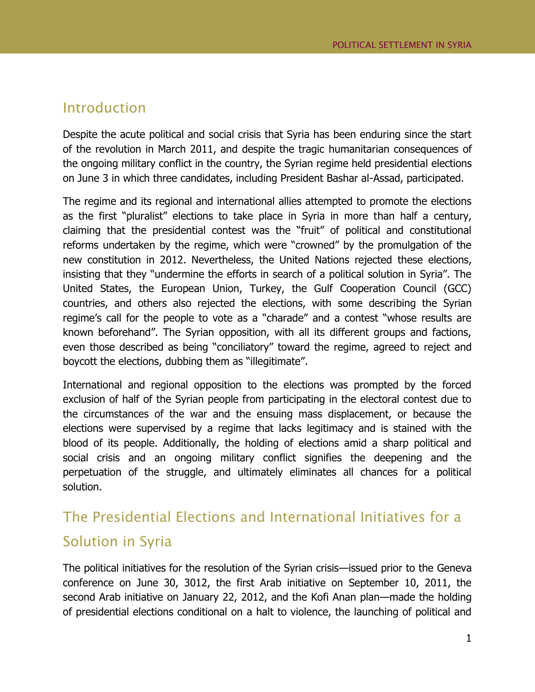#### Introduction

Despite the acute political and social crisis that Syria has been enduring since the start of the revolution in March 2011, and despite the tragic humanitarian consequences of the ongoing military conflict in the country, the Syrian regime held presidential elections on June 3 in which three candidates, including President Bashar al-Assad, participated.

The regime and its regional and international allies attempted to promote the elections as the first "pluralist" elections to take place in Syria in more than half a century, claiming that the presidential contest was the "fruit" of political and constitutional reforms undertaken by the regime, which were "crowned" by the promulgation of the new constitution in 2012. Nevertheless, the United Nations rejected these elections, insisting that they "undermine the efforts in search of a political solution in Syria". The United States, the European Union, Turkey, the Gulf Cooperation Council (GCC) countries, and others also rejected the elections, with some describing the Syrian regime's call for the people to vote as a "charade" and a contest "whose results are known beforehand". The Syrian opposition, with all its different groups and factions, even those described as being "conciliatory" toward the regime, agreed to reject and boycott the elections, dubbing them as "illegitimate".

International and regional opposition to the elections was prompted by the forced exclusion of half of the Syrian people from participating in the electoral contest due to the circumstances of the war and the ensuing mass displacement, or because the elections were supervised by a regime that lacks legitimacy and is stained with the blood of its people. Additionally, the holding of elections amid a sharp political and social crisis and an ongoing military conflict signifies the deepening and the perpetuation of the struggle, and ultimately eliminates all chances for a political solution.

### The Presidential Elections and International Initiatives for a Solution in Syria

The political initiatives for the resolution of the Syrian crisis—issued prior to the Geneva conference on June 30, 3012, the first Arab initiative on September 10, 2011, the second Arab initiative on January 22, 2012, and the Kofi Anan plan—made the holding of presidential elections conditional on a halt to violence, the launching of political and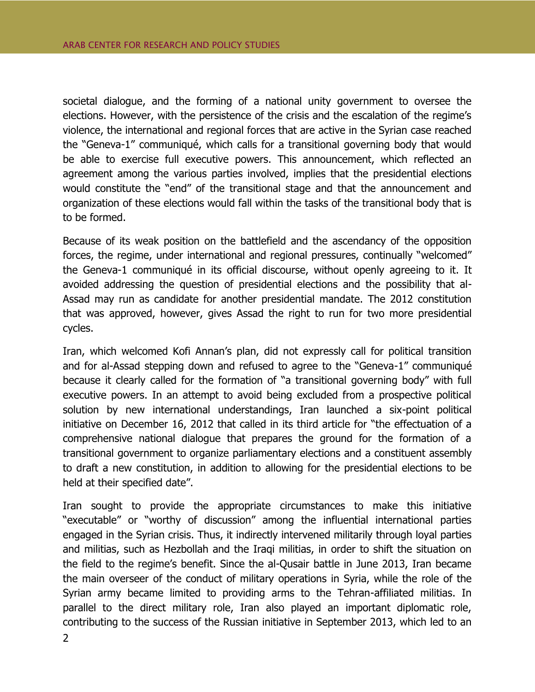societal dialogue, and the forming of a national unity government to oversee the elections. However, with the persistence of the crisis and the escalation of the regime's violence, the international and regional forces that are active in the Syrian case reached the "Geneva-1" communiqué, which calls for a transitional governing body that would be able to exercise full executive powers. This announcement, which reflected an agreement among the various parties involved, implies that the presidential elections would constitute the "end" of the transitional stage and that the announcement and organization of these elections would fall within the tasks of the transitional body that is to be formed.

Because of its weak position on the battlefield and the ascendancy of the opposition forces, the regime, under international and regional pressures, continually "welcomed" the Geneva-1 communiqué in its official discourse, without openly agreeing to it. It avoided addressing the question of presidential elections and the possibility that al-Assad may run as candidate for another presidential mandate. The 2012 constitution that was approved, however, gives Assad the right to run for two more presidential cycles.

Iran, which welcomed Kofi Annan's plan, did not expressly call for political transition and for al-Assad stepping down and refused to agree to the "Geneva-1" communiqué because it clearly called for the formation of "a transitional governing body" with full executive powers. In an attempt to avoid being excluded from a prospective political solution by new international understandings, Iran launched a six-point political initiative on December 16, 2012 that called in its third article for "the effectuation of a comprehensive national dialogue that prepares the ground for the formation of a transitional government to organize parliamentary elections and a constituent assembly to draft a new constitution, in addition to allowing for the presidential elections to be held at their specified date".

Iran sought to provide the appropriate circumstances to make this initiative "executable" or "worthy of discussion" among the influential international parties engaged in the Syrian crisis. Thus, it indirectly intervened militarily through loyal parties and militias, such as Hezbollah and the Iraqi militias, in order to shift the situation on the field to the regime's benefit. Since the al-Qusair battle in June 2013, Iran became the main overseer of the conduct of military operations in Syria, while the role of the Syrian army became limited to providing arms to the Tehran-affiliated militias. In parallel to the direct military role, Iran also played an important diplomatic role, contributing to the success of the Russian initiative in September 2013, which led to an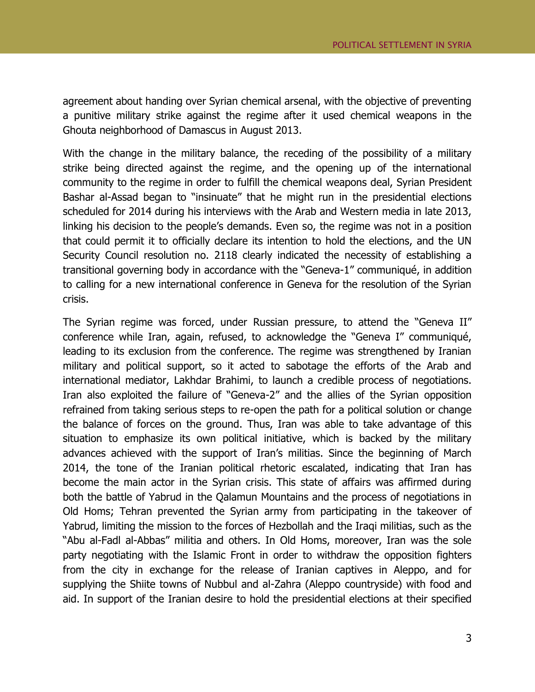agreement about handing over Syrian chemical arsenal, with the objective of preventing a punitive military strike against the regime after it used chemical weapons in the Ghouta neighborhood of Damascus in August 2013.

With the change in the military balance, the receding of the possibility of a military strike being directed against the regime, and the opening up of the international community to the regime in order to fulfill the chemical weapons deal, Syrian President Bashar al-Assad began to "insinuate" that he might run in the presidential elections scheduled for 2014 during his interviews with the Arab and Western media in late 2013, linking his decision to the people's demands. Even so, the regime was not in a position that could permit it to officially declare its intention to hold the elections, and the UN Security Council resolution no. 2118 clearly indicated the necessity of establishing a transitional governing body in accordance with the "Geneva-1" communiqué, in addition to calling for a new international conference in Geneva for the resolution of the Syrian crisis.

The Syrian regime was forced, under Russian pressure, to attend the "Geneva II" conference while Iran, again, refused, to acknowledge the "Geneva I" communiqué, leading to its exclusion from the conference. The regime was strengthened by Iranian military and political support, so it acted to sabotage the efforts of the Arab and international mediator, Lakhdar Brahimi, to launch a credible process of negotiations. Iran also exploited the failure of "Geneva-2" and the allies of the Syrian opposition refrained from taking serious steps to re-open the path for a political solution or change the balance of forces on the ground. Thus, Iran was able to take advantage of this situation to emphasize its own political initiative, which is backed by the military advances achieved with the support of Iran's militias. Since the beginning of March 2014, the tone of the Iranian political rhetoric escalated, indicating that Iran has become the main actor in the Syrian crisis. This state of affairs was affirmed during both the battle of Yabrud in the Qalamun Mountains and the process of negotiations in Old Homs; Tehran prevented the Syrian army from participating in the takeover of Yabrud, limiting the mission to the forces of Hezbollah and the Iraqi militias, such as the "Abu al-Fadl al-Abbas" militia and others. In Old Homs, moreover, Iran was the sole party negotiating with the Islamic Front in order to withdraw the opposition fighters from the city in exchange for the release of Iranian captives in Aleppo, and for supplying the Shiite towns of Nubbul and al-Zahra (Aleppo countryside) with food and aid. In support of the Iranian desire to hold the presidential elections at their specified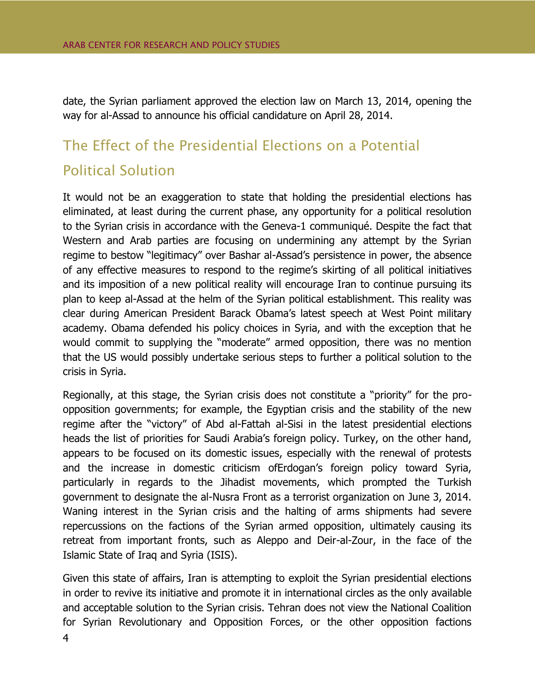date, the Syrian parliament approved the election law on March 13, 2014, opening the way for al-Assad to announce his official candidature on April 28, 2014.

## The Effect of the Presidential Elections on a Potential Political Solution

It would not be an exaggeration to state that holding the presidential elections has eliminated, at least during the current phase, any opportunity for a political resolution to the Syrian crisis in accordance with the Geneva-1 communiqué. Despite the fact that Western and Arab parties are focusing on undermining any attempt by the Syrian regime to bestow "legitimacy" over Bashar al-Assad's persistence in power, the absence of any effective measures to respond to the regime's skirting of all political initiatives and its imposition of a new political reality will encourage Iran to continue pursuing its plan to keep al-Assad at the helm of the Syrian political establishment. This reality was clear during American President Barack Obama's latest speech at West Point military academy. Obama defended his policy choices in Syria, and with the exception that he would commit to supplying the "moderate" armed opposition, there was no mention that the US would possibly undertake serious steps to further a political solution to the crisis in Syria.

Regionally, at this stage, the Syrian crisis does not constitute a "priority" for the proopposition governments; for example, the Egyptian crisis and the stability of the new regime after the "victory" of Abd al-Fattah al-Sisi in the latest presidential elections heads the list of priorities for Saudi Arabia's foreign policy. Turkey, on the other hand, appears to be focused on its domestic issues, especially with the renewal of protests and the increase in domestic criticism ofErdogan's foreign policy toward Syria, particularly in regards to the Jihadist movements, which prompted the Turkish government to designate the al-Nusra Front as a terrorist organization on June 3, 2014. Waning interest in the Syrian crisis and the halting of arms shipments had severe repercussions on the factions of the Syrian armed opposition, ultimately causing its retreat from important fronts, such as Aleppo and Deir-al-Zour, in the face of the Islamic State of Iraq and Syria (ISIS).

Given this state of affairs, Iran is attempting to exploit the Syrian presidential elections in order to revive its initiative and promote it in international circles as the only available and acceptable solution to the Syrian crisis. Tehran does not view the National Coalition for Syrian Revolutionary and Opposition Forces, or the other opposition factions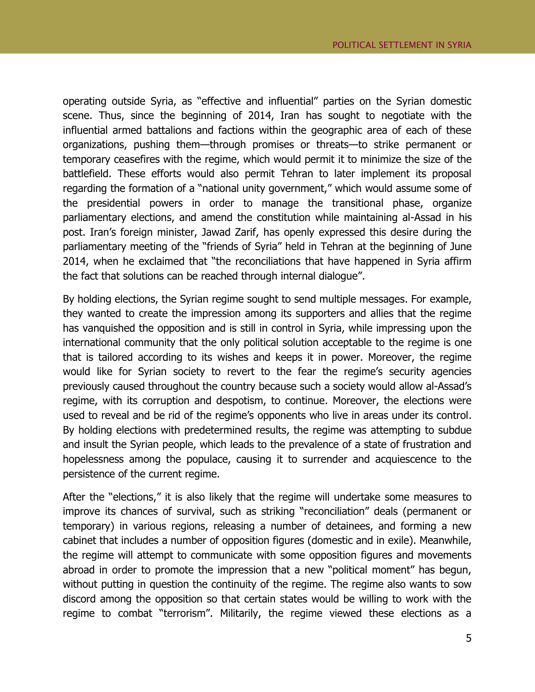operating outside Syria, as "effective and influential" parties on the Syrian domestic scene. Thus, since the beginning of 2014, Iran has sought to negotiate with the influential armed battalions and factions within the geographic area of each of these organizations, pushing them—through promises or threats—to strike permanent or temporary ceasefires with the regime, which would permit it to minimize the size of the battlefield. These efforts would also permit Tehran to later implement its proposal regarding the formation of a "national unity government," which would assume some of the presidential powers in order to manage the transitional phase, organize parliamentary elections, and amend the constitution while maintaining al-Assad in his post. Iran's foreign minister, Jawad Zarif, has openly expressed this desire during the parliamentary meeting of the "friends of Syria" held in Tehran at the beginning of June 2014, when he exclaimed that "the reconciliations that have happened in Syria affirm the fact that solutions can be reached through internal dialogue".

By holding elections, the Syrian regime sought to send multiple messages. For example, they wanted to create the impression among its supporters and allies that the regime has vanquished the opposition and is still in control in Syria, while impressing upon the international community that the only political solution acceptable to the regime is one that is tailored according to its wishes and keeps it in power. Moreover, the regime would like for Syrian society to revert to the fear the regime's security agencies previously caused throughout the country because such a society would allow al-Assad's regime, with its corruption and despotism, to continue. Moreover, the elections were used to reveal and be rid of the regime's opponents who live in areas under its control. By holding elections with predetermined results, the regime was attempting to subdue and insult the Syrian people, which leads to the prevalence of a state of frustration and hopelessness among the populace, causing it to surrender and acquiescence to the persistence of the current regime.

After the "elections," it is also likely that the regime will undertake some measures to improve its chances of survival, such as striking "reconciliation" deals (permanent or temporary) in various regions, releasing a number of detainees, and forming a new cabinet that includes a number of opposition figures (domestic and in exile). Meanwhile, the regime will attempt to communicate with some opposition figures and movements abroad in order to promote the impression that a new "political moment" has begun, without putting in question the continuity of the regime. The regime also wants to sow discord among the opposition so that certain states would be willing to work with the regime to combat "terrorism". Militarily, the regime viewed these elections as a